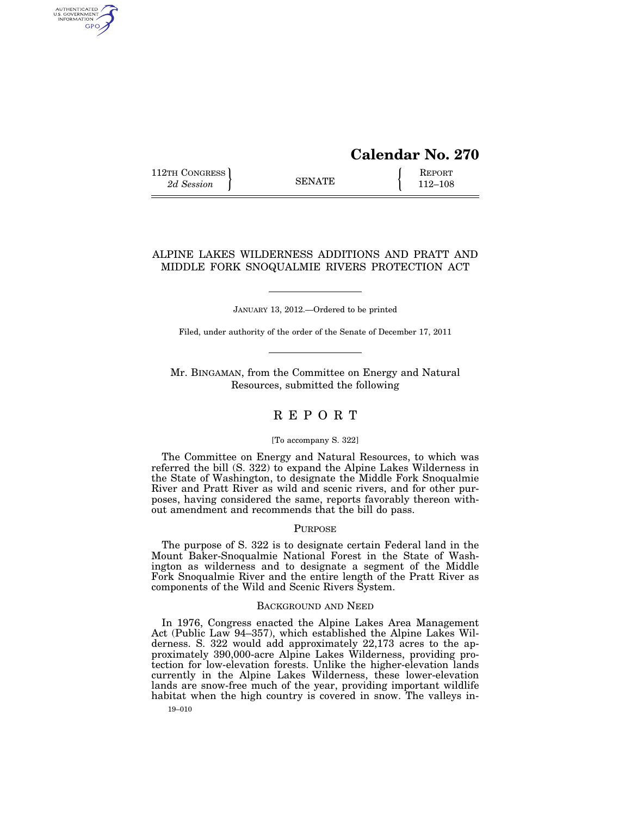# **Calendar No. 270**

112TH CONGRESS **REPORT** 2d Session **112 EXAMPLE** 112–108

AUTHENTICATED<br>U.S. GOVERNMENT<br>INFORMATION **GPO** 

## ALPINE LAKES WILDERNESS ADDITIONS AND PRATT AND MIDDLE FORK SNOQUALMIE RIVERS PROTECTION ACT

JANUARY 13, 2012.—Ordered to be printed

Filed, under authority of the order of the Senate of December 17, 2011

Mr. BINGAMAN, from the Committee on Energy and Natural Resources, submitted the following

## R E P O R T

## [To accompany S. 322]

The Committee on Energy and Natural Resources, to which was referred the bill (S. 322) to expand the Alpine Lakes Wilderness in the State of Washington, to designate the Middle Fork Snoqualmie River and Pratt River as wild and scenic rivers, and for other purposes, having considered the same, reports favorably thereon without amendment and recommends that the bill do pass.

## PURPOSE

The purpose of S. 322 is to designate certain Federal land in the Mount Baker-Snoqualmie National Forest in the State of Washington as wilderness and to designate a segment of the Middle Fork Snoqualmie River and the entire length of the Pratt River as components of the Wild and Scenic Rivers System.

## BACKGROUND AND NEED

In 1976, Congress enacted the Alpine Lakes Area Management Act (Public Law 94–357), which established the Alpine Lakes Wilderness. S. 322 would add approximately 22,173 acres to the approximately 390,000-acre Alpine Lakes Wilderness, providing protection for low-elevation forests. Unlike the higher-elevation lands currently in the Alpine Lakes Wilderness, these lower-elevation lands are snow-free much of the year, providing important wildlife habitat when the high country is covered in snow. The valleys in-

19–010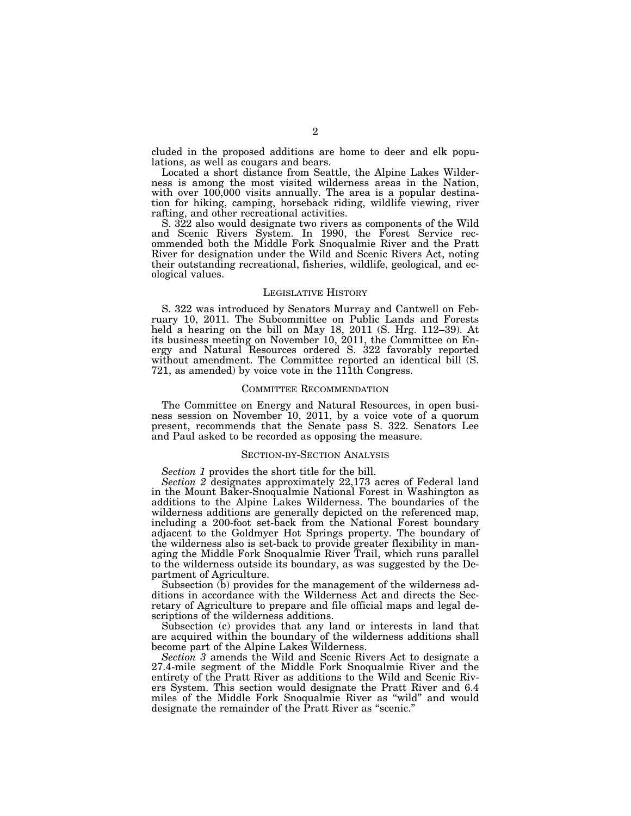cluded in the proposed additions are home to deer and elk populations, as well as cougars and bears.

Located a short distance from Seattle, the Alpine Lakes Wilderness is among the most visited wilderness areas in the Nation, with over 100,000 visits annually. The area is a popular destination for hiking, camping, horseback riding, wildlife viewing, river rafting, and other recreational activities.

S. 322 also would designate two rivers as components of the Wild and Scenic Rivers System. In 1990, the Forest Service recommended both the Middle Fork Snoqualmie River and the Pratt River for designation under the Wild and Scenic Rivers Act, noting their outstanding recreational, fisheries, wildlife, geological, and ecological values.

#### LEGISLATIVE HISTORY

S. 322 was introduced by Senators Murray and Cantwell on February 10, 2011. The Subcommittee on Public Lands and Forests held a hearing on the bill on May 18, 2011 (S. Hrg. 112–39). At its business meeting on November 10, 2011, the Committee on Energy and Natural Resources ordered S. 322 favorably reported without amendment. The Committee reported an identical bill (S. 721, as amended) by voice vote in the 111th Congress.

## COMMITTEE RECOMMENDATION

The Committee on Energy and Natural Resources, in open business session on November 10, 2011, by a voice vote of a quorum present, recommends that the Senate pass S. 322. Senators Lee and Paul asked to be recorded as opposing the measure.

## SECTION-BY-SECTION ANALYSIS

*Section 1* provides the short title for the bill.

*Section 2* designates approximately 22,173 acres of Federal land in the Mount Baker-Snoqualmie National Forest in Washington as additions to the Alpine Lakes Wilderness. The boundaries of the wilderness additions are generally depicted on the referenced map, including a 200-foot set-back from the National Forest boundary adjacent to the Goldmyer Hot Springs property. The boundary of the wilderness also is set-back to provide greater flexibility in managing the Middle Fork Snoqualmie River Trail, which runs parallel to the wilderness outside its boundary, as was suggested by the Department of Agriculture.

Subsection (b) provides for the management of the wilderness additions in accordance with the Wilderness Act and directs the Secretary of Agriculture to prepare and file official maps and legal descriptions of the wilderness additions.

Subsection (c) provides that any land or interests in land that are acquired within the boundary of the wilderness additions shall become part of the Alpine Lakes Wilderness.

*Section 3* amends the Wild and Scenic Rivers Act to designate a 27.4-mile segment of the Middle Fork Snoqualmie River and the entirety of the Pratt River as additions to the Wild and Scenic Rivers System. This section would designate the Pratt River and 6.4 miles of the Middle Fork Snoqualmie River as ''wild'' and would designate the remainder of the Pratt River as "scenic."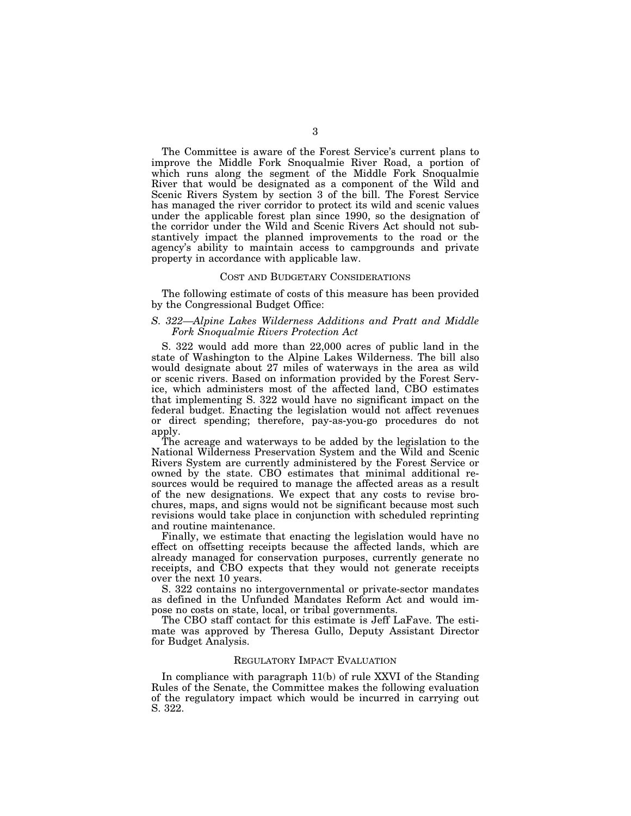The Committee is aware of the Forest Service's current plans to improve the Middle Fork Snoqualmie River Road, a portion of which runs along the segment of the Middle Fork Snoqualmie River that would be designated as a component of the Wild and Scenic Rivers System by section 3 of the bill. The Forest Service has managed the river corridor to protect its wild and scenic values under the applicable forest plan since 1990, so the designation of the corridor under the Wild and Scenic Rivers Act should not substantively impact the planned improvements to the road or the agency's ability to maintain access to campgrounds and private property in accordance with applicable law.

## COST AND BUDGETARY CONSIDERATIONS

The following estimate of costs of this measure has been provided by the Congressional Budget Office:

## *S. 322—Alpine Lakes Wilderness Additions and Pratt and Middle Fork Snoqualmie Rivers Protection Act*

S. 322 would add more than 22,000 acres of public land in the state of Washington to the Alpine Lakes Wilderness. The bill also would designate about 27 miles of waterways in the area as wild or scenic rivers. Based on information provided by the Forest Service, which administers most of the affected land, CBO estimates that implementing S. 322 would have no significant impact on the federal budget. Enacting the legislation would not affect revenues or direct spending; therefore, pay-as-you-go procedures do not apply.

The acreage and waterways to be added by the legislation to the National Wilderness Preservation System and the Wild and Scenic Rivers System are currently administered by the Forest Service or owned by the state. CBO estimates that minimal additional resources would be required to manage the affected areas as a result of the new designations. We expect that any costs to revise brochures, maps, and signs would not be significant because most such revisions would take place in conjunction with scheduled reprinting and routine maintenance.

Finally, we estimate that enacting the legislation would have no effect on offsetting receipts because the affected lands, which are already managed for conservation purposes, currently generate no receipts, and CBO expects that they would not generate receipts over the next 10 years.

S. 322 contains no intergovernmental or private-sector mandates as defined in the Unfunded Mandates Reform Act and would impose no costs on state, local, or tribal governments.

The CBO staff contact for this estimate is Jeff LaFave. The estimate was approved by Theresa Gullo, Deputy Assistant Director for Budget Analysis.

#### REGULATORY IMPACT EVALUATION

In compliance with paragraph 11(b) of rule XXVI of the Standing Rules of the Senate, the Committee makes the following evaluation of the regulatory impact which would be incurred in carrying out S. 322.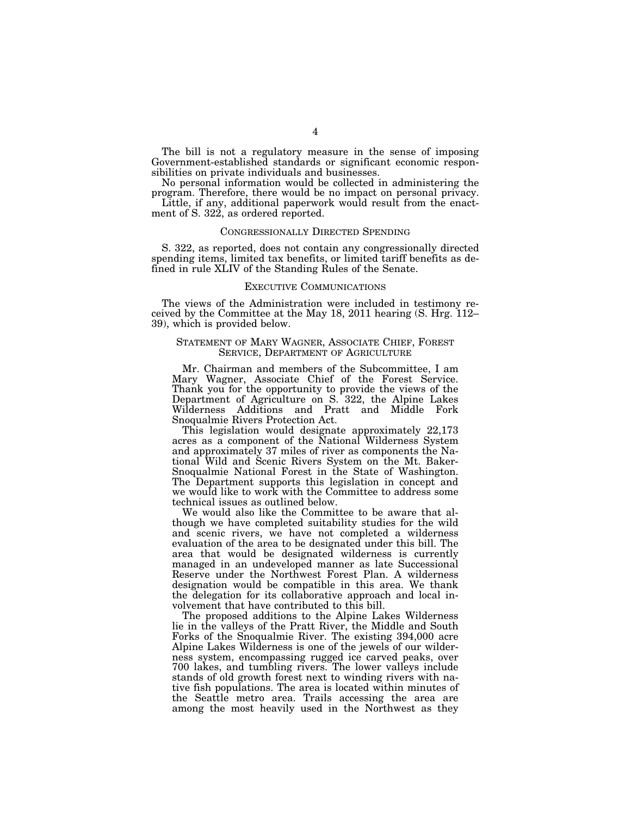The bill is not a regulatory measure in the sense of imposing Government-established standards or significant economic responsibilities on private individuals and businesses.

No personal information would be collected in administering the program. Therefore, there would be no impact on personal privacy.

Little, if any, additional paperwork would result from the enactment of S. 322, as ordered reported.

## CONGRESSIONALLY DIRECTED SPENDING

S. 322, as reported, does not contain any congressionally directed spending items, limited tax benefits, or limited tariff benefits as defined in rule XLIV of the Standing Rules of the Senate.

## EXECUTIVE COMMUNICATIONS

The views of the Administration were included in testimony received by the Committee at the May 18, 2011 hearing (S. Hrg. 112– 39), which is provided below.

## STATEMENT OF MARY WAGNER, ASSOCIATE CHIEF, FOREST SERVICE, DEPARTMENT OF AGRICULTURE

Mr. Chairman and members of the Subcommittee, I am Mary Wagner, Associate Chief of the Forest Service. Thank you for the opportunity to provide the views of the Department of Agriculture on S. 322, the Alpine Lakes Wilderness Additions and Pratt and Middle Fork Snoqualmie Rivers Protection Act.

This legislation would designate approximately 22,173 acres as a component of the National Wilderness System and approximately 37 miles of river as components the National Wild and Scenic Rivers System on the Mt. Baker-Snoqualmie National Forest in the State of Washington. The Department supports this legislation in concept and we would like to work with the Committee to address some technical issues as outlined below.

We would also like the Committee to be aware that although we have completed suitability studies for the wild and scenic rivers, we have not completed a wilderness evaluation of the area to be designated under this bill. The area that would be designated wilderness is currently managed in an undeveloped manner as late Successional Reserve under the Northwest Forest Plan. A wilderness designation would be compatible in this area. We thank the delegation for its collaborative approach and local involvement that have contributed to this bill.

The proposed additions to the Alpine Lakes Wilderness lie in the valleys of the Pratt River, the Middle and South Forks of the Snoqualmie River. The existing 394,000 acre Alpine Lakes Wilderness is one of the jewels of our wilderness system, encompassing rugged ice carved peaks, over 700 lakes, and tumbling rivers. The lower valleys include stands of old growth forest next to winding rivers with native fish populations. The area is located within minutes of the Seattle metro area. Trails accessing the area are among the most heavily used in the Northwest as they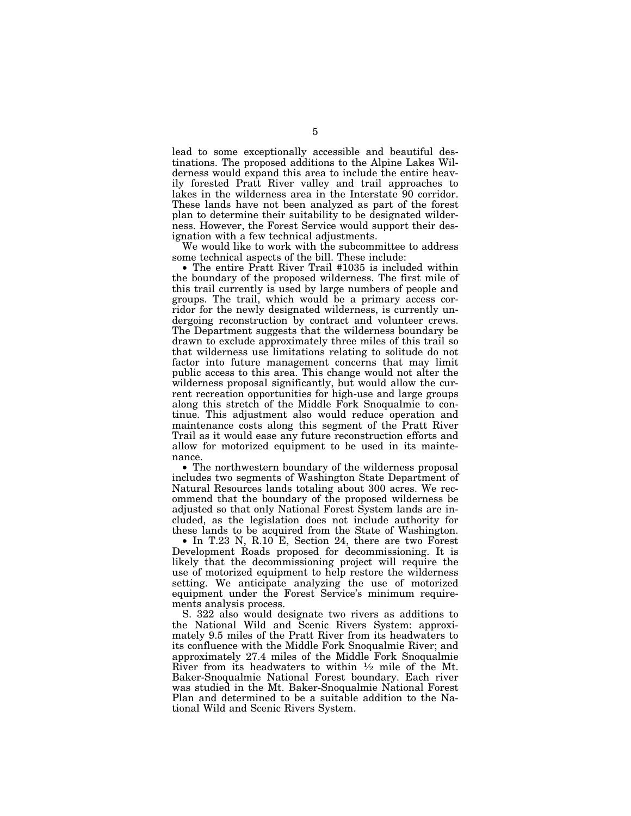lead to some exceptionally accessible and beautiful destinations. The proposed additions to the Alpine Lakes Wilderness would expand this area to include the entire heavily forested Pratt River valley and trail approaches to lakes in the wilderness area in the Interstate 90 corridor. These lands have not been analyzed as part of the forest plan to determine their suitability to be designated wilderness. However, the Forest Service would support their designation with a few technical adjustments.

We would like to work with the subcommittee to address some technical aspects of the bill. These include:

• The entire Pratt River Trail #1035 is included within the boundary of the proposed wilderness. The first mile of this trail currently is used by large numbers of people and groups. The trail, which would be a primary access corridor for the newly designated wilderness, is currently undergoing reconstruction by contract and volunteer crews. The Department suggests that the wilderness boundary be drawn to exclude approximately three miles of this trail so that wilderness use limitations relating to solitude do not factor into future management concerns that may limit public access to this area. This change would not alter the wilderness proposal significantly, but would allow the current recreation opportunities for high-use and large groups along this stretch of the Middle Fork Snoqualmie to continue. This adjustment also would reduce operation and maintenance costs along this segment of the Pratt River Trail as it would ease any future reconstruction efforts and allow for motorized equipment to be used in its maintenance.

• The northwestern boundary of the wilderness proposal includes two segments of Washington State Department of Natural Resources lands totaling about 300 acres. We recommend that the boundary of the proposed wilderness be adjusted so that only National Forest System lands are included, as the legislation does not include authority for these lands to be acquired from the State of Washington.

• In T.23 N, R.10 E, Section 24, there are two Forest Development Roads proposed for decommissioning. It is likely that the decommissioning project will require the use of motorized equipment to help restore the wilderness setting. We anticipate analyzing the use of motorized equipment under the Forest Service's minimum requirements analysis process.

S. 322 also would designate two rivers as additions to the National Wild and Scenic Rivers System: approximately 9.5 miles of the Pratt River from its headwaters to its confluence with the Middle Fork Snoqualmie River; and approximately 27.4 miles of the Middle Fork Snoqualmie River from its headwaters to within  $\frac{1}{2}$  mile of the Mt. Baker-Snoqualmie National Forest boundary. Each river was studied in the Mt. Baker-Snoqualmie National Forest Plan and determined to be a suitable addition to the National Wild and Scenic Rivers System.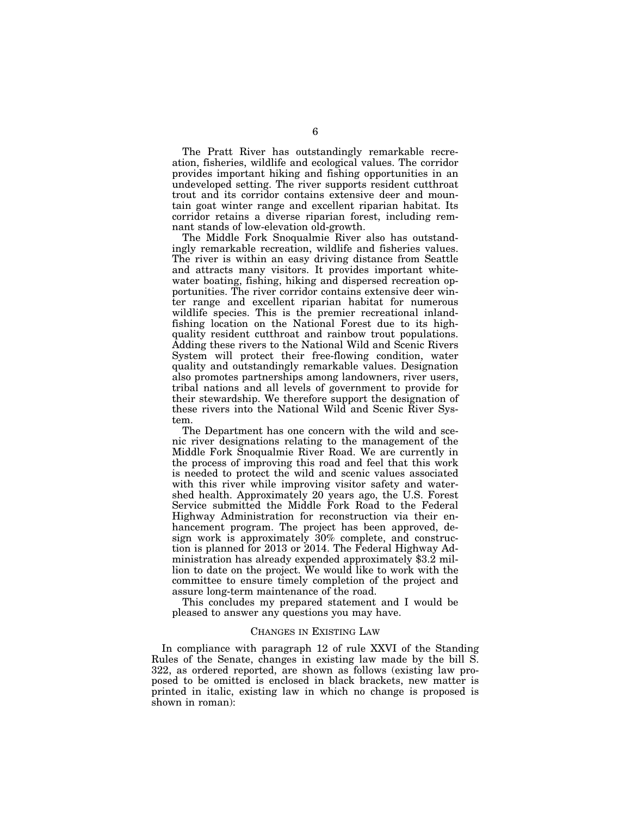The Pratt River has outstandingly remarkable recreation, fisheries, wildlife and ecological values. The corridor provides important hiking and fishing opportunities in an undeveloped setting. The river supports resident cutthroat trout and its corridor contains extensive deer and mountain goat winter range and excellent riparian habitat. Its corridor retains a diverse riparian forest, including remnant stands of low-elevation old-growth.

The Middle Fork Snoqualmie River also has outstandingly remarkable recreation, wildlife and fisheries values. The river is within an easy driving distance from Seattle and attracts many visitors. It provides important whitewater boating, fishing, hiking and dispersed recreation opportunities. The river corridor contains extensive deer winter range and excellent riparian habitat for numerous wildlife species. This is the premier recreational inlandfishing location on the National Forest due to its highquality resident cutthroat and rainbow trout populations. Adding these rivers to the National Wild and Scenic Rivers System will protect their free-flowing condition, water quality and outstandingly remarkable values. Designation also promotes partnerships among landowners, river users, tribal nations and all levels of government to provide for their stewardship. We therefore support the designation of these rivers into the National Wild and Scenic River System.

The Department has one concern with the wild and scenic river designations relating to the management of the Middle Fork Snoqualmie River Road. We are currently in the process of improving this road and feel that this work is needed to protect the wild and scenic values associated with this river while improving visitor safety and watershed health. Approximately 20 years ago, the U.S. Forest Service submitted the Middle Fork Road to the Federal Highway Administration for reconstruction via their enhancement program. The project has been approved, design work is approximately 30% complete, and construction is planned for 2013 or 2014. The Federal Highway Administration has already expended approximately \$3.2 million to date on the project. We would like to work with the committee to ensure timely completion of the project and assure long-term maintenance of the road.

This concludes my prepared statement and I would be pleased to answer any questions you may have.

## CHANGES IN EXISTING LAW

In compliance with paragraph 12 of rule XXVI of the Standing Rules of the Senate, changes in existing law made by the bill S. 322, as ordered reported, are shown as follows (existing law proposed to be omitted is enclosed in black brackets, new matter is printed in italic, existing law in which no change is proposed is shown in roman):